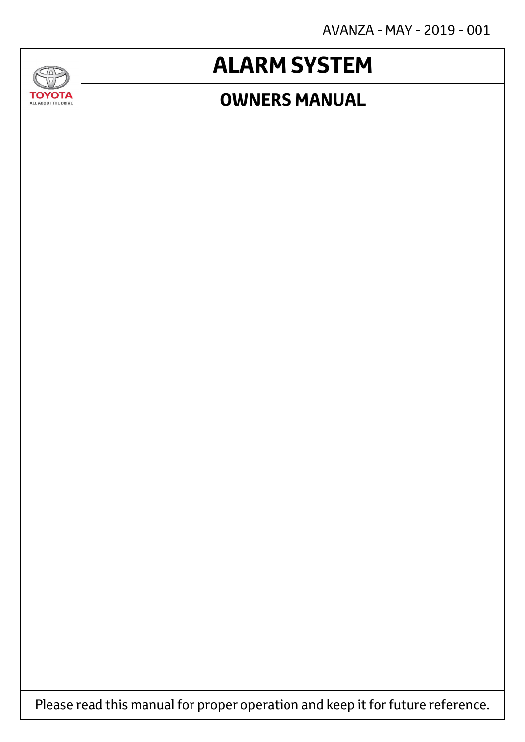AVANZA - MAY - 2019 - 001

## **ALARM SYSTEM**

### **OWNERS MANUAL**



**GAD** 

Please read this manual for proper operation and keep it for future reference.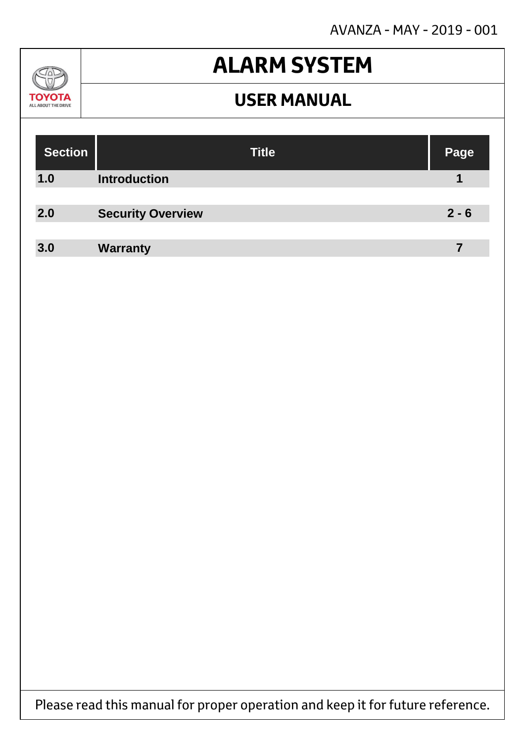AVANZA - MAY - 2019 - 001



## **ALARM SYSTEM**

### **USER MANUAL**

| <b>Section</b> | <b>Title</b>             | Page    |
|----------------|--------------------------|---------|
| 1.0            | <b>Introduction</b>      |         |
| 2.0            | <b>Security Overview</b> | $2 - 6$ |
| 3.0            | <b>Warranty</b>          | 7       |

Please read this manual for proper operation and keep it for future reference.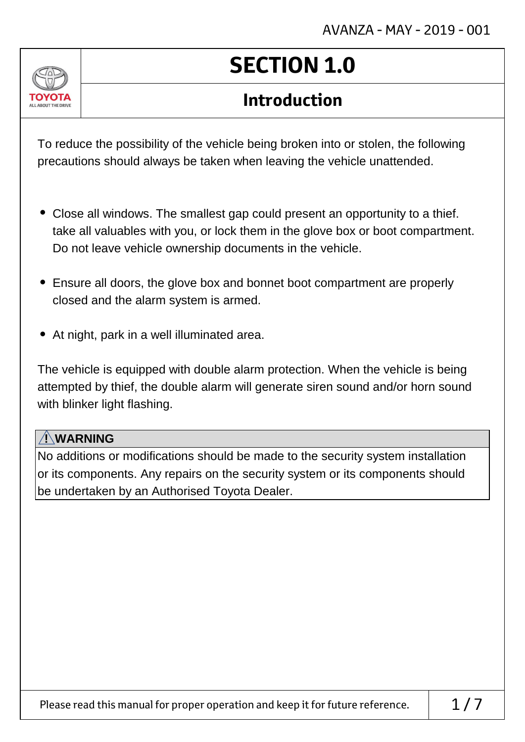

# **SECTION 1.0**

### **Introduction**

To reduce the possibility of the vehicle being broken into or stolen, the following precautions should always be taken when leaving the vehicle unattended.

- Close all windows. The smallest gap could present an opportunity to a thief. take all valuables with you, or lock them in the glove box or boot compartment. Do not leave vehicle ownership documents in the vehicle.
- Ensure all doors, the glove box and bonnet boot compartment are properly closed and the alarm system is armed.
- At night, park in a well illuminated area.

The vehicle is equipped with double alarm protection. When the vehicle is being attempted by thief, the double alarm will generate siren sound and/or horn sound with blinker light flashing.

#### **! WARNING**

No additions or modifications should be made to the security system installation or its components. Any repairs on the security system or its components should be undertaken by an Authorised Toyota Dealer.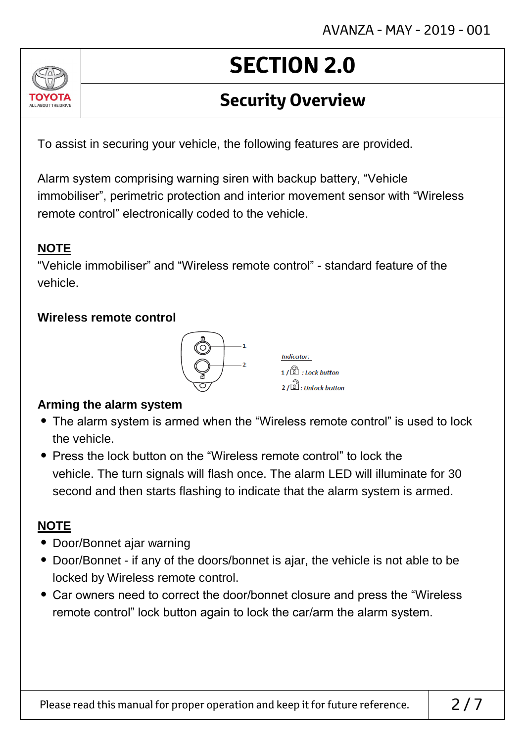### **Security Overview**

To assist in securing your vehicle, the following features are provided.

Alarm system comprising warning siren with backup battery, "Vehicle immobiliser", perimetric protection and interior movement sensor with "Wireless remote control" electronically coded to the vehicle.

#### **NOTE**

ALL AROUT THE DRIV

"Vehicle immobiliser" and "Wireless remote control" - standard feature of the vehicle.

#### **Wireless remote control**



**Indicator:**  $1/\sqrt{2}$  : Lock button  $2/\sqrt{2}$ : Unlock button

#### **Arming the alarm system**

- The alarm system is armed when the "Wireless remote control" is used to lock the vehicle.
- Press the lock button on the "Wireless remote control" to lock the vehicle. The turn signals will flash once. The alarm LED will illuminate for 30 second and then starts flashing to indicate that the alarm system is armed.

#### **NOTE**

- Door/Bonnet ajar warning
- Door/Bonnet if any of the doors/bonnet is ajar, the vehicle is not able to be locked by Wireless remote control.
- Car owners need to correct the door/bonnet closure and press the "Wireless remote control" lock button again to lock the car/arm the alarm system.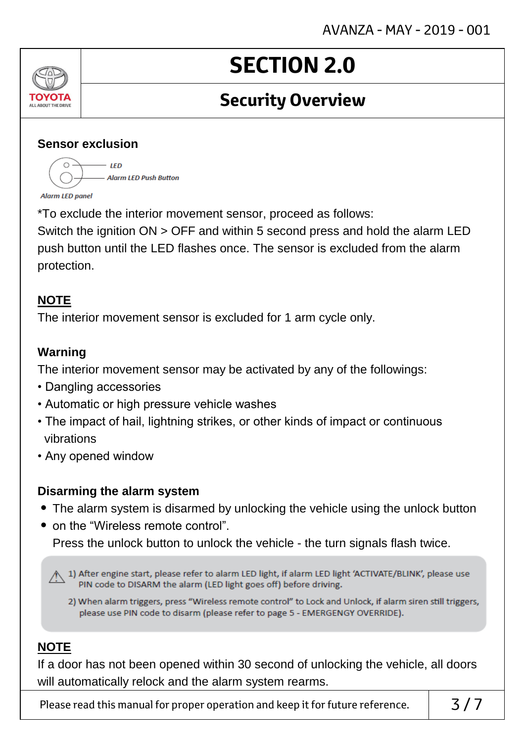### **Security Overview**

#### **Sensor exclusion**

 $\bigcap$ .  $-$  IFD - Alarm LED Push Button **Alarm LED panel** 

\*To exclude the interior movement sensor, proceed as follows:

Switch the ignition ON > OFF and within 5 second press and hold the alarm LED push button until the LED flashes once. The sensor is excluded from the alarm protection.

#### **NOTE**

ALL ABOUT THE DRIVE

The interior movement sensor is excluded for 1 arm cycle only.

#### **Warning**

The interior movement sensor may be activated by any of the followings:

- Dangling accessories
- Automatic or high pressure vehicle washes
- The impact of hail, lightning strikes, or other kinds of impact or continuous vibrations
- Any opened window

#### **Disarming the alarm system**

- The alarm system is disarmed by unlocking the vehicle using the unlock button
- on the "Wireless remote control". Press the unlock button to unlock the vehicle - the turn signals flash twice.

A 1) After engine start, please refer to alarm LED light, if alarm LED light 'ACTIVATE/BLINK', please use PIN code to DISARM the alarm (LED light goes off) before driving.

2) When alarm triggers, press "Wireless remote control" to Lock and Unlock, if alarm siren still triggers, please use PIN code to disarm (please refer to page 5 - EMERGENGY OVERRIDE).

#### **NOTE**

If a door has not been opened within 30 second of unlocking the vehicle, all doors will automatically relock and the alarm system rearms.

Please read this manual for proper operation and keep it for future reference.  $\begin{array}{c} \n\end{array}$  3/7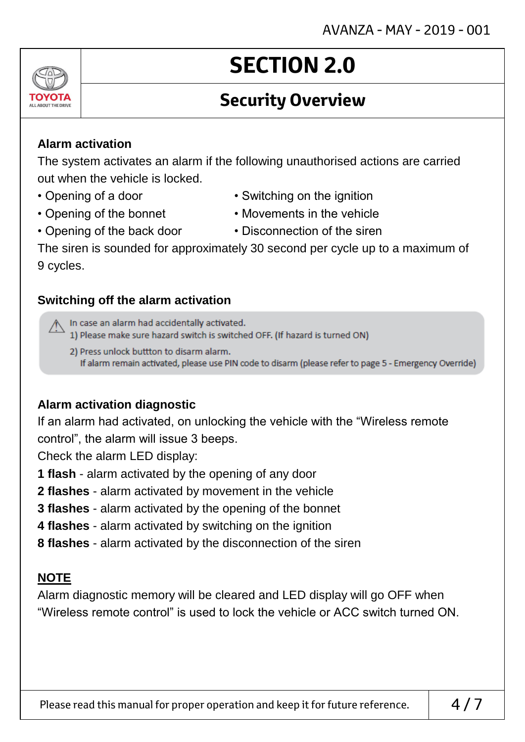### **Security Overview**

#### **Alarm activation**

The system activates an alarm if the following unauthorised actions are carried out when the vehicle is locked.

- 
- 
- Opening of a door Switching on the ignition
- Opening of the bonnet Movements in the vehicle
- Opening of the back door Disconnection of the siren
	-

The siren is sounded for approximately 30 second per cycle up to a maximum of 9 cycles.

#### **Switching off the alarm activation**

In case an alarm had accidentally activated.

1) Please make sure hazard switch is switched OFF. (If hazard is turned ON)

2) Press unlock buttton to disarm alarm. If alarm remain activated, please use PIN code to disarm (please refer to page 5 - Emergency Override)

#### **Alarm activation diagnostic**

If an alarm had activated, on unlocking the vehicle with the "Wireless remote control", the alarm will issue 3 beeps.

Check the alarm LED display:

- **1 flash** alarm activated by the opening of any door
- **2 flashes** alarm activated by movement in the vehicle
- **3 flashes** alarm activated by the opening of the bonnet
- **4 flashes** alarm activated by switching on the ignition
- **8 flashes** alarm activated by the disconnection of the siren

#### **NOTE**

Alarm diagnostic memory will be cleared and LED display will go OFF when "Wireless remote control" is used to lock the vehicle or ACC switch turned ON.

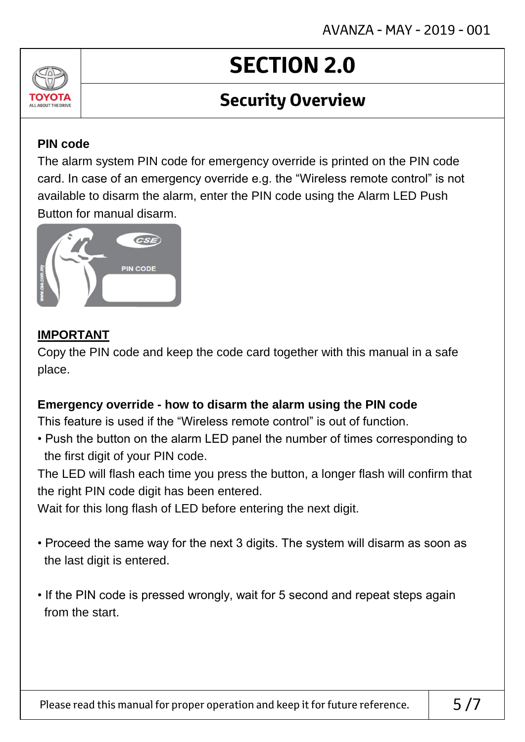### **Security Overview**

#### **PIN code**

ALL AROUT THE DRIV

The alarm system PIN code for emergency override is printed on the PIN code card. In case of an emergency override e.g. the "Wireless remote control" is not available to disarm the alarm, enter the PIN code using the Alarm LED Push Button for manual disarm.



#### **IMPORTANT**

Copy the PIN code and keep the code card together with this manual in a safe place.

#### **Emergency override - how to disarm the alarm using the PIN code**

This feature is used if the "Wireless remote control" is out of function.

• Push the button on the alarm LED panel the number of times corresponding to the first digit of your PIN code.

The LED will flash each time you press the button, a longer flash will confirm that the right PIN code digit has been entered.

Wait for this long flash of LED before entering the next digit.

- Proceed the same way for the next 3 digits. The system will disarm as soon as the last digit is entered.
- If the PIN code is pressed wrongly, wait for 5 second and repeat steps again from the start.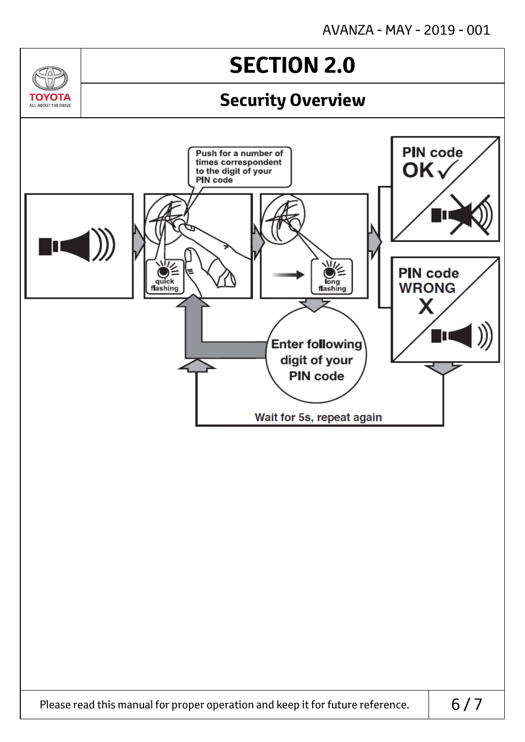$\sqrt{2}$ 

**TOYOTA** ALL AROUT THE DRIVE